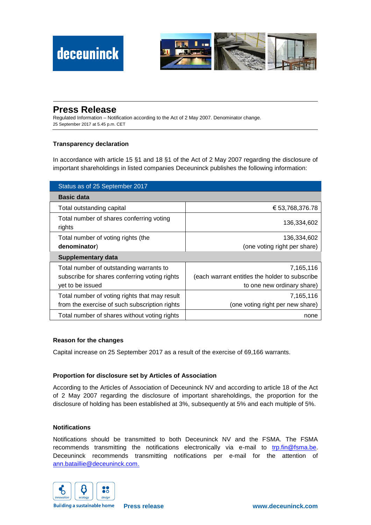

# **Press Release**

Regulated Information – Notification according to the Act of 2 May 2007. Denominator change. 25 September 2017 at 5.45 p.m. CET

## **Transparency declaration**

In accordance with article 15 §1 and 18 §1 of the Act of 2 May 2007 regarding the disclosure of important shareholdings in listed companies Deceuninck publishes the following information:

| Status as of 25 September 2017                     |                                                |
|----------------------------------------------------|------------------------------------------------|
| <b>Basic data</b>                                  |                                                |
| Total outstanding capital                          | € 53,768,376.78                                |
| Total number of shares conferring voting<br>rights | 136,334,602                                    |
| Total number of voting rights (the                 | 136,334,602                                    |
| denominator)                                       | (one voting right per share)                   |
| Supplementary data                                 |                                                |
| Total number of outstanding warrants to            | 7,165,116                                      |
| subscribe for shares conferring voting rights      | (each warrant entitles the holder to subscribe |
| yet to be issued                                   | to one new ordinary share)                     |
| Total number of voting rights that may result      | 7.165.116                                      |
| from the exercise of such subscription rights      | (one voting right per new share)               |
| Total number of shares without voting rights       | none                                           |

## **Reason for the changes**

Capital increase on 25 September 2017 as a result of the exercise of 69,166 warrants.

## **Proportion for disclosure set by Articles of Association**

According to the Articles of Association of Deceuninck NV and according to article 18 of the Act of 2 May 2007 regarding the disclosure of important shareholdings, the proportion for the disclosure of holding has been established at 3%, subsequently at 5% and each multiple of 5%.

#### **Notifications**

Notifications should be transmitted to both Deceuninck NV and the FSMA. The FSMA recommends transmitting the notifications electronically via e-mail to [trp.fin@fsma.be.](mailto:trp.fin@fsma.be) Deceuninck recommends transmitting notifications per e-mail for the attention of [ann.bataillie@deceuninck.com.](mailto:ann.bataillie@deceuninck.com)



**Building a sustainable home**